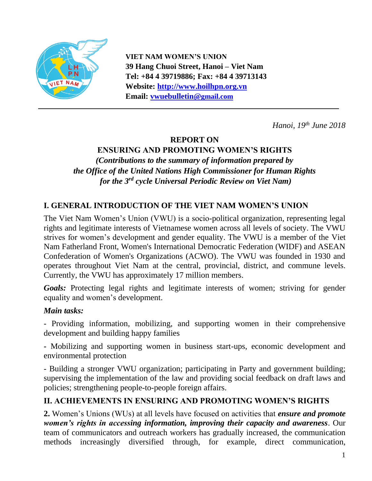

**VIET NAM WOMEN'S UNION 39 Hang Chuoi Street, Hanoi – Viet Nam Tel: +84 4 39719886; Fax: +84 4 39713143 Website: [http://www.hoilhpn.org.vn](http://www.hoilhpn.org.vn/) Email: [vwuebulletin@](mailto:vwuebulletin@)gmail.com**

*Hanoi, 19th June 2018*

# **REPORT ON**

# **ENSURING AND PROMOTING WOMEN'S RIGHTS**

*(Contributions to the summary of information prepared by the Office of the United Nations High Commissioner for Human Rights for the 3 rd cycle Universal Periodic Review on Viet Nam)*

# **I. GENERAL INTRODUCTION OF THE VIET NAM WOMEN'S UNION**

The Viet Nam Women's Union (VWU) is a socio-political organization, representing legal rights and legitimate interests of Vietnamese women across all levels of society. The VWU strives for women's development and gender equality. The VWU is a member of the Viet Nam Fatherland Front, Women's International Democratic Federation (WIDF) and ASEAN Confederation of Women's Organizations (ACWO). The VWU was founded in 1930 and operates throughout Viet Nam at the central, provincial, district, and commune levels. Currently, the VWU has approximately 17 million members.

*Goals:* Protecting legal rights and legitimate interests of women; striving for gender equality and women's development.

#### *Main tasks:*

- Providing information, mobilizing, and supporting women in their comprehensive development and building happy families

**-** Mobilizing and supporting women in business start-ups, economic development and environmental protection

- Building a stronger VWU organization; participating in Party and government building; supervising the implementation of the law and providing social feedback on draft laws and policies; strengthening people-to-people foreign affairs.

### **II. ACHIEVEMENTS IN ENSURING AND PROMOTING WOMEN'S RIGHTS**

**2.** Women's Unions (WUs) at all levels have focused on activities that *ensure and promote women's rights in accessing information, improving their capacity and awareness*. Our team of communicators and outreach workers has gradually increased, the communication methods increasingly diversified through, for example, direct communication,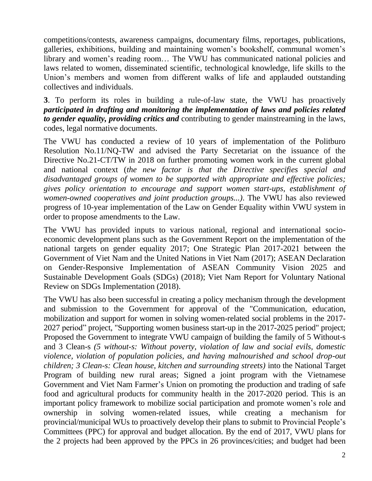competitions/contests, awareness campaigns, documentary films, reportages, publications, galleries, exhibitions, building and maintaining women's bookshelf, communal women's library and women's reading room… The VWU has communicated national policies and laws related to women, disseminated scientific, technological knowledge, life skills to the Union's members and women from different walks of life and applauded outstanding collectives and individuals.

**3**. To perform its roles in building a rule-of-law state, the VWU has proactively *participated in drafting and monitoring the implementation of laws and policies related to gender equality, providing critics and* contributing to gender mainstreaming in the laws, codes, legal normative documents.

The VWU has conducted a review of 10 years of implementation of the Politburo Resolution No.11/NQ-TW and advised the Party Secretariat on the issuance of the Directive No.21-CT/TW in 2018 on further promoting women work in the current global and national context (*the new factor is that the Directive specifies special and disadvantaged groups of women to be supported with appropriate and effective policies; gives policy orientation to encourage and support women start-ups, establishment of women-owned cooperatives and joint production groups...)*. The VWU has also reviewed progress of 10-year implementation of the Law on Gender Equality within VWU system in order to propose amendments to the Law.

The VWU has provided inputs to various national, regional and international socioeconomic development plans such as the Government Report on the implementation of the national targets on gender equality 2017; One Strategic Plan 2017-2021 between the Government of Viet Nam and the United Nations in Viet Nam (2017); ASEAN Declaration on Gender-Responsive Implementation of ASEAN Community Vision 2025 and Sustainable Development Goals (SDGs) (2018); Viet Nam Report for Voluntary National Review on SDGs Implementation (2018).

The VWU has also been successful in creating a policy mechanism through the development and submission to the Government for approval of the "Communication, education, mobilization and support for women in solving women-related social problems in the 2017- 2027 period" project, "Supporting women business start-up in the 2017-2025 period" project; Proposed the Government to integrate VWU campaign of building the family of 5 Without-s and 3 Clean-s *(5 without-s: Without poverty, violation of law and social evils, domestic violence, violation of population policies, and having malnourished and school drop-out children; 3 Clean-s: Clean house, kitchen and surrounding streets)* into the National Target Program of building new rural areas; Signed a joint program with the Vietnamese Government and Viet Nam Farmer's Union on promoting the production and trading of safe food and agricultural products for community health in the 2017-2020 period. This is an important policy framework to mobilize social participation and promote women's role and ownership in solving women-related issues, while creating a mechanism for provincial/municipal WUs to proactively develop their plans to submit to Provincial People's Committees (PPC) for approval and budget allocation. By the end of 2017, VWU plans for the 2 projects had been approved by the PPCs in 26 provinces/cities; and budget had been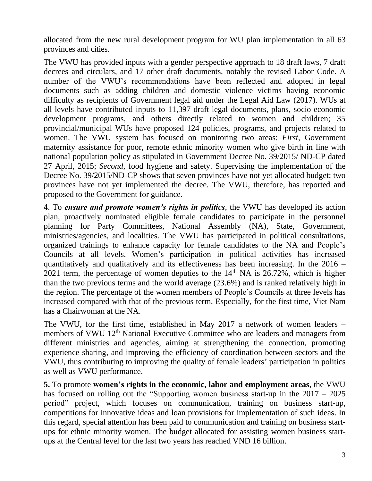allocated from the new rural development program for WU plan implementation in all 63 provinces and cities.

The VWU has provided inputs with a gender perspective approach to 18 draft laws, 7 draft decrees and circulars, and 17 other draft documents, notably the revised Labor Code. A number of the VWU's recommendations have been reflected and adopted in legal documents such as adding children and domestic violence victims having economic difficulty as recipients of Government legal aid under the Legal Aid Law (2017). WUs at all levels have contributed inputs to 11,397 draft legal documents, plans, socio-economic development programs, and others directly related to women and children; 35 provincial/municipal WUs have proposed 124 policies, programs, and projects related to women. The VWU system has focused on monitoring two areas: *First,* Government maternity assistance for poor, remote ethnic minority women who give birth in line with national population policy as stipulated in Government Decree No. 39/2015/ ND-CP dated 27 April, 2015; *Second,* food hygiene and safety. Supervising the implementation of the Decree No. 39/2015/ND-CP shows that seven provinces have not yet allocated budget; two provinces have not yet implemented the decree. The VWU, therefore, has reported and proposed to the Government for guidance.

**4**. To *ensure and promote women's rights in politics*, the VWU has developed its action plan, proactively nominated eligible female candidates to participate in the personnel planning for Party Committees, National Assembly (NA), State, Government, ministries/agencies, and localities. The VWU has participated in political consultations, organized trainings to enhance capacity for female candidates to the NA and People's Councils at all levels. Women's participation in political activities has increased quantitatively and qualitatively and its effectiveness has been increasing. In the 2016 – 2021 term, the percentage of women deputies to the  $14<sup>th</sup> NA$  is  $26.72%$ , which is higher than the two previous terms and the world average (23.6%) and is ranked relatively high in the region. The percentage of the women members of People's Councils at three levels has increased compared with that of the previous term. Especially, for the first time, Viet Nam has a Chairwoman at the NA.

The VWU, for the first time, established in May 2017 a network of women leaders – members of VWU 12<sup>th</sup> National Executive Committee who are leaders and managers from different ministries and agencies, aiming at strengthening the connection, promoting experience sharing, and improving the efficiency of coordination between sectors and the VWU, thus contributing to improving the quality of female leaders' participation in politics as well as VWU performance.

**5.** To promote **women's rights in the economic, labor and employment areas**, the VWU has focused on rolling out the "Supporting women business start-up in the 2017 – 2025 period" project, which focuses on communication, training on business start-up, competitions for innovative ideas and loan provisions for implementation of such ideas. In this regard, special attention has been paid to communication and training on business startups for ethnic minority women. The budget allocated for assisting women business startups at the Central level for the last two years has reached VND 16 billion.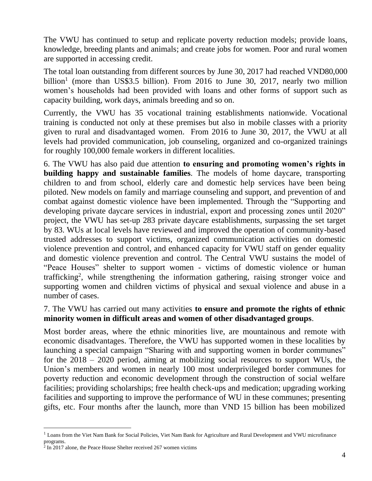The VWU has continued to setup and replicate poverty reduction models; provide loans, knowledge, breeding plants and animals; and create jobs for women. Poor and rural women are supported in accessing credit.

The total loan outstanding from different sources by June 30, 2017 had reached VND80,000 billion<sup>1</sup> (more than US\$3.5 billion). From 2016 to June 30, 2017, nearly two million women's households had been provided with loans and other forms of support such as capacity building, work days, animals breeding and so on.

Currently, the VWU has 35 vocational training establishments nationwide. Vocational training is conducted not only at these premises but also in mobile classes with a priority given to rural and disadvantaged women. From 2016 to June 30, 2017, the VWU at all levels had provided communication, job counseling, organized and co-organized trainings for roughly 100,000 female workers in different localities.

6. The VWU has also paid due attention **to ensuring and promoting women's rights in building happy and sustainable families**. The models of home daycare, transporting children to and from school, elderly care and domestic help services have been being piloted. New models on family and marriage counseling and support, and prevention of and combat against domestic violence have been implemented. Through the "Supporting and developing private daycare services in industrial, export and processing zones until 2020" project, the VWU has set-up 283 private daycare establishments, surpassing the set target by 83. WUs at local levels have reviewed and improved the operation of community-based trusted addresses to support victims, organized communication activities on domestic violence prevention and control, and enhanced capacity for VWU staff on gender equality and domestic violence prevention and control. The Central VWU sustains the model of "Peace Houses" shelter to support women - victims of domestic violence or human trafficking<sup>2</sup>, while strengthening the information gathering, raising stronger voice and supporting women and children victims of physical and sexual violence and abuse in a number of cases.

### 7. The VWU has carried out many activities **to ensure and promote the rights of ethnic minority women in difficult areas and women of other disadvantaged groups**.

Most border areas, where the ethnic minorities live, are mountainous and remote with economic disadvantages. Therefore, the VWU has supported women in these localities by launching a special campaign "Sharing with and supporting women in border communes" for the 2018 – 2020 period, aiming at mobilizing social resources to support WUs, the Union's members and women in nearly 100 most underprivileged border communes for poverty reduction and economic development through the construction of social welfare facilities; providing scholarships; free health check-ups and medication; upgrading working facilities and supporting to improve the performance of WU in these communes; presenting gifts, etc. Four months after the launch, more than VND 15 billion has been mobilized

 $\overline{a}$ 

<sup>&</sup>lt;sup>1</sup> Loans from the Viet Nam Bank for Social Policies, Viet Nam Bank for Agriculture and Rural Development and VWU microfinance programs.

<sup>&</sup>lt;sup>2</sup> In 2017 alone, the Peace House Shelter received 267 women victims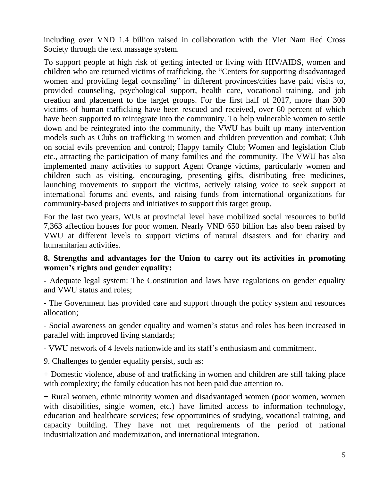including over VND 1.4 billion raised in collaboration with the Viet Nam Red Cross Society through the text massage system.

To support people at high risk of getting infected or living with HIV/AIDS, women and children who are returned victims of trafficking, the "Centers for supporting disadvantaged women and providing legal counseling" in different provinces/cities have paid visits to, provided counseling, psychological support, health care, vocational training, and job creation and placement to the target groups. For the first half of 2017, more than 300 victims of human trafficking have been rescued and received, over 60 percent of which have been supported to reintegrate into the community. To help vulnerable women to settle down and be reintegrated into the community, the VWU has built up many intervention models such as Clubs on trafficking in women and children prevention and combat; Club on social evils prevention and control; Happy family Club; Women and legislation Club etc., attracting the participation of many families and the community. The VWU has also implemented many activities to support Agent Orange victims, particularly women and children such as visiting, encouraging, presenting gifts, distributing free medicines, launching movements to support the victims, actively raising voice to seek support at international forums and events, and raising funds from international organizations for community-based projects and initiatives to support this target group.

For the last two years, WUs at provincial level have mobilized social resources to build 7,363 affection houses for poor women. Nearly VND 650 billion has also been raised by VWU at different levels to support victims of natural disasters and for charity and humanitarian activities.

#### **8. Strengths and advantages for the Union to carry out its activities in promoting women's rights and gender equality:**

- Adequate legal system: The Constitution and laws have regulations on gender equality and VWU status and roles;

- The Government has provided care and support through the policy system and resources allocation;

- Social awareness on gender equality and women's status and roles has been increased in parallel with improved living standards;

- VWU network of 4 levels nationwide and its staff's enthusiasm and commitment.

9. Challenges to gender equality persist, such as:

+ Domestic violence, abuse of and trafficking in women and children are still taking place with complexity; the family education has not been paid due attention to.

+ Rural women, ethnic minority women and disadvantaged women (poor women, women with disabilities, single women, etc.) have limited access to information technology, education and healthcare services; few opportunities of studying, vocational training, and capacity building. They have not met requirements of the period of national industrialization and modernization, and international integration.